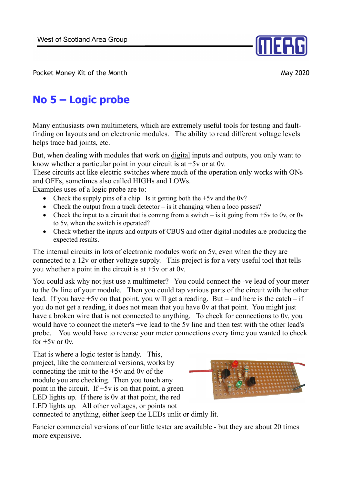

Pocket Money Kit of the Month May 2020

## **No 5 – Logic probe**

Many enthusiasts own multimeters, which are extremely useful tools for testing and faultfinding on layouts and on electronic modules. The ability to read different voltage levels helps trace bad joints, etc.

But, when dealing with modules that work on digital inputs and outputs, you only want to know whether a particular point in your circuit is at  $+5v$  or at 0v.

These circuits act like electric switches where much of the operation only works with ONs and OFFs, sometimes also called HIGHs and LOWs.

Examples uses of a logic probe are to:

- Check the supply pins of a chip. Is it getting both the  $+5v$  and the 0v?
- Check the output from a track detector  $-\overline{\ }$  is it changing when a loco passes?
- Check the input to a circuit that is coming from a switch is it going from  $+5v$  to 0v, or 0v to 5v, when the switch is operated?
- Check whether the inputs and outputs of CBUS and other digital modules are producing the expected results.

The internal circuits in lots of electronic modules work on 5v, even when the they are connected to a 12v or other voltage supply. This project is for a very useful tool that tells you whether a point in the circuit is at  $+5v$  or at 0v.

You could ask why not just use a multimeter? You could connect the -ve lead of your meter to the 0v line of your module. Then you could tap various parts of the circuit with the other lead. If you have  $+5v$  on that point, you will get a reading. But – and here is the catch – if you do not get a reading, it does not mean that you have 0v at that point. You might just have a broken wire that is not connected to anything. To check for connections to 0v, you would have to connect the meter's +ve lead to the 5v line and then test with the other lead's probe. You would have to reverse your meter connections every time you wanted to check for  $+5v$  or  $0v$ .

That is where a logic tester is handy. This, project, like the commercial versions, works by connecting the unit to the +5v and 0v of the module you are checking. Then you touch any point in the circuit. If  $+5v$  is on that point, a green LED lights up. If there is 0v at that point, the red LED lights up. All other voltages, or points not connected to anything, either keep the LEDs unlit or dimly lit.



Fancier commercial versions of our little tester are available - but they are about 20 times more expensive.